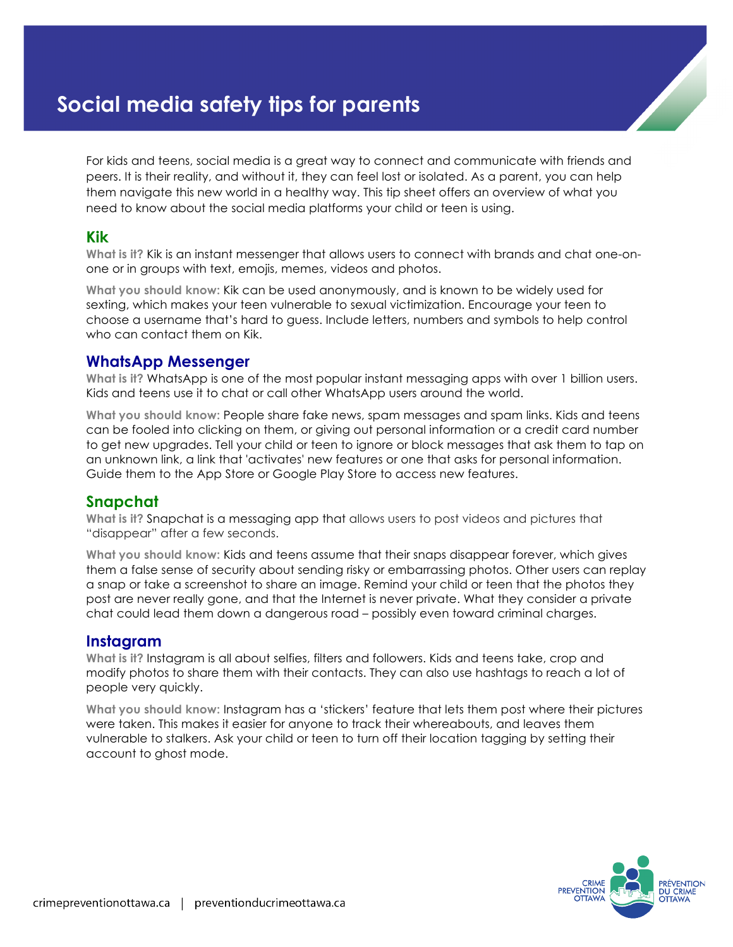# **Social media safety tips for parents**

For kids and teens, social media is a great way to connect and communicate with friends and peers. It is their reality, and without it, they can feel lost or isolated. As a parent, you can help them navigate this new world in a healthy way. This tip sheet offers an overview of what you need to know about the social media platforms your child or teen is using.

#### **Kik**

**What is it?** Kik is an instant messenger that allows users to connect with brands and chat one-onone or in groups with text, emojis, memes, videos and photos.

**What you should know:** Kik can be used anonymously, and is known to be widely used for sexting, which makes your teen vulnerable to sexual victimization. Encourage your teen to choose a username that's hard to guess. Include letters, numbers and symbols to help control who can contact them on Kik.

#### **WhatsApp Messenger**

**What is it?** WhatsApp is one of the most popular instant messaging apps with over 1 billion users. Kids and teens use it to chat or call other WhatsApp users around the world.

**What you should know:** People share fake news, spam messages and spam links. Kids and teens can be fooled into clicking on them, or giving out personal information or a credit card number to get new upgrades. Tell your child or teen to ignore or block messages that ask them to tap on an unknown link, a link that 'activates' new features or one that asks for personal information. Guide them to the App Store or Google Play Store to access new features.

## **Snapchat**

**What is it?** Snapchat is a messaging app that allows users to post videos and pictures that "disappear" after a few seconds.

**What you should know:** Kids and teens assume that their snaps disappear forever, which gives them a false sense of security about sending risky or embarrassing photos. Other users can replay a snap or take a screenshot to share an image. Remind your child or teen that the photos they post are never really gone, and that the Internet is never private. What they consider a private chat could lead them down a dangerous road – possibly even toward criminal charges.

## **Instagram**

**What is it?** Instagram is all about selfies, filters and followers. Kids and teens take, crop and modify photos to share them with their contacts. They can also use hashtags to reach a lot of people very quickly.

**What you should know:** Instagram has a 'stickers' feature that lets them post where their pictures were taken. This makes it easier for anyone to track their whereabouts, and leaves them vulnerable to stalkers. Ask your child or teen to turn off their location tagging by setting their account to ghost mode.